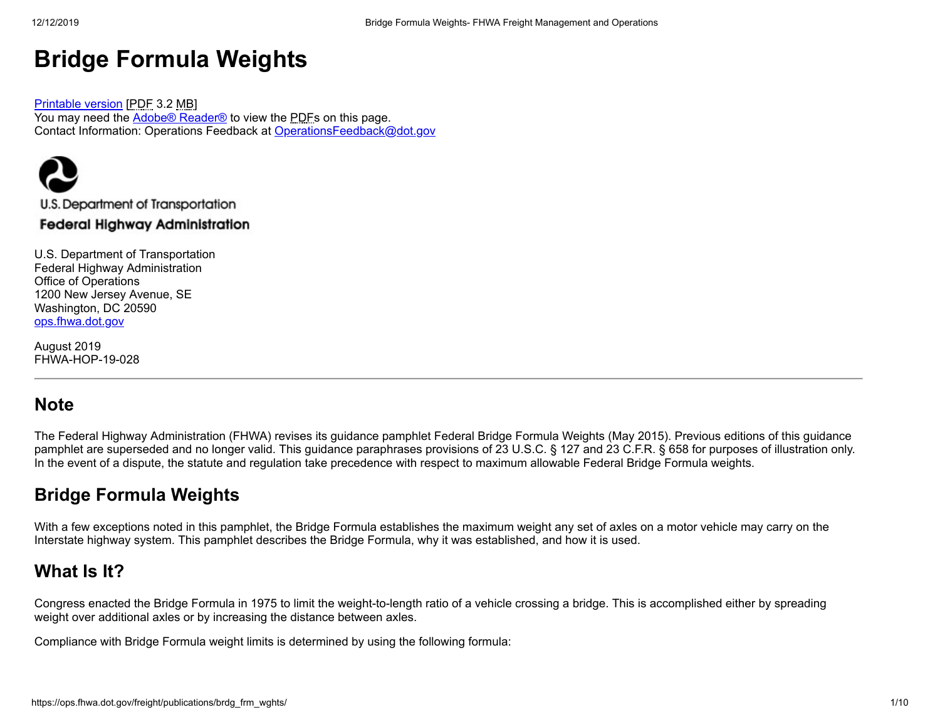# **Bridge Formula Weights**

[Printable](https://ops.fhwa.dot.gov/freight/publications/brdg_frm_wghts/fhwahop19028.pdf) version [PDF 3.2 MB] You may need the **Adobe® [Reader®](https://www.fhwa.dot.gov/exit.cfm?link=https://get.adobe.com/reader/otherversions/)** to view the PDFs on this page. Contact Information: Operations Feedback at [OperationsFeedback@dot.gov](mailto:OperationsFeedback@dot.gov)



### **Federal Highway Administration**

U.S. Department of Transportation Federal Highway Administration Office of Operations 1200 New Jersey Avenue, SE Washington, DC 20590 [ops.fhwa.dot.gov](https://ops.fhwa.dot.gov/)

August 2019 FHWA-HOP-19-028

## **Note**

The Federal Highway Administration (FHWA) revises its guidance pamphlet Federal Bridge Formula Weights (May 2015). Previous editions of this guidance pamphlet are superseded and no longer valid. This guidance paraphrases provisions of 23 U.S.C. § 127 and 23 C.F.R. § 658 for purposes of illustration only. In the event of a dispute, the statute and regulation take precedence with respect to maximum allowable Federal Bridge Formula weights.

# **Bridge Formula Weights**

With a few exceptions noted in this pamphlet, the Bridge Formula establishes the maximum weight any set of axles on a motor vehicle may carry on the Interstate highway system. This pamphlet describes the Bridge Formula, why it was established, and how it is used.

## **What Is It?**

Congress enacted the Bridge Formula in 1975 to limit the weight-to-length ratio of a vehicle crossing a bridge. This is accomplished either by spreading weight over additional axles or by increasing the distance between axles.

Compliance with Bridge Formula weight limits is determined by using the following formula: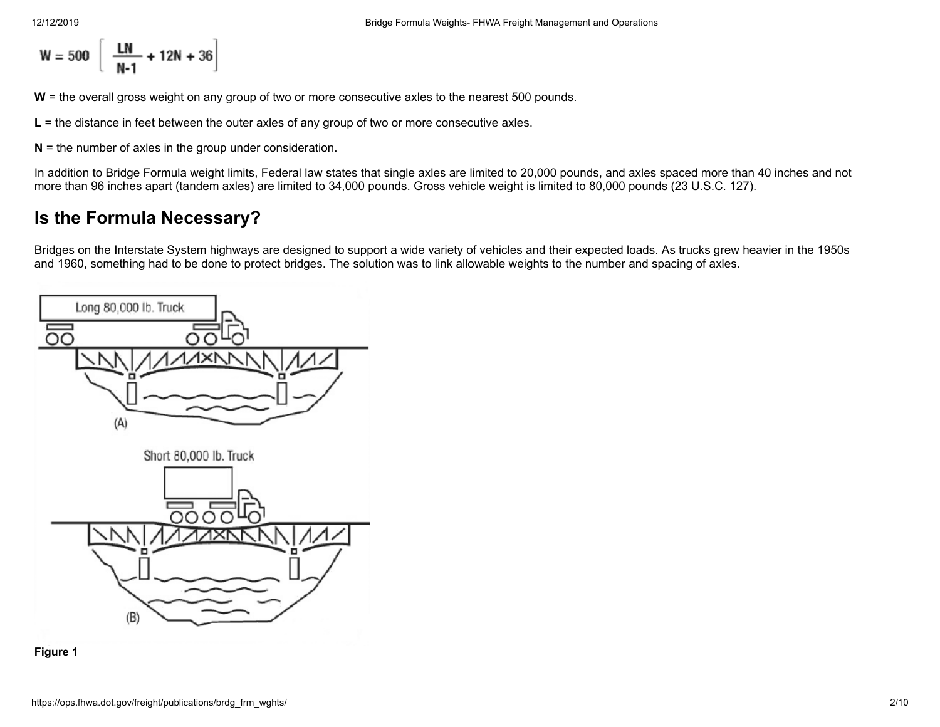$$
W = 500 \left[ \frac{\text{LN}}{\text{N-1}} + 12\text{N} + 36 \right]
$$

**W** = the overall gross weight on any group of two or more consecutive axles to the nearest 500 pounds.

**L** = the distance in feet between the outer axles of any group of two or more consecutive axles.

**N** = the number of axles in the group under consideration.

In addition to Bridge Formula weight limits, Federal law states that single axles are limited to 20,000 pounds, and axles spaced more than 40 inches and not more than 96 inches apart (tandem axles) are limited to 34,000 pounds. Gross vehicle weight is limited to 80,000 pounds (23 U.S.C. 127).

# **Is the Formula Necessary?**

Bridges on the Interstate System highways are designed to support a wide variety of vehicles and their expected loads. As trucks grew heavier in the 1950s and 1960, something had to be done to protect bridges. The solution was to link allowable weights to the number and spacing of axles.



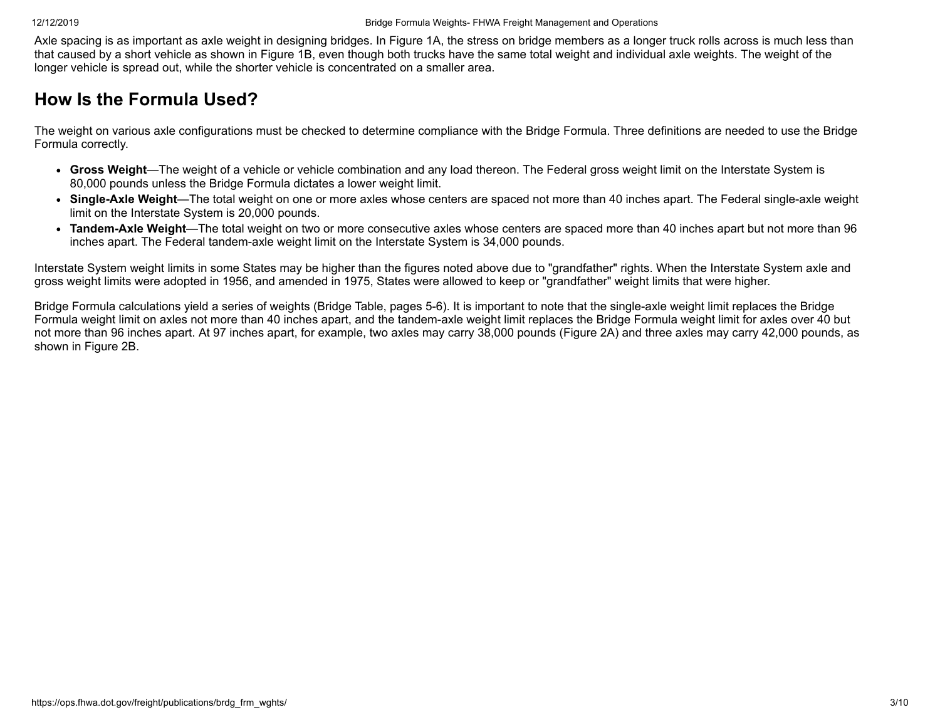Axle spacing is as important as axle weight in designing bridges. In Figure 1A, the stress on bridge members as a longer truck rolls across is much less than that caused by a short vehicle as shown in Figure 1B, even though both trucks have the same total weight and individual axle weights. The weight of the longer vehicle is spread out, while the shorter vehicle is concentrated on a smaller area.

# **How Is the Formula Used?**

The weight on various axle configurations must be checked to determine compliance with the Bridge Formula. Three definitions are needed to use the Bridge Formula correctly.

- **Gross Weight**—The weight of a vehicle or vehicle combination and any load thereon. The Federal gross weight limit on the Interstate System is 80,000 pounds unless the Bridge Formula dictates a lower weight limit.
- **Single-Axle Weight**—The total weight on one or more axles whose centers are spaced not more than 40 inches apart. The Federal single-axle weight limit on the Interstate System is 20,000 pounds.
- **Tandem-Axle Weight**—The total weight on two or more consecutive axles whose centers are spaced more than 40 inches apart but not more than 96 inches apart. The Federal tandem-axle weight limit on the Interstate System is 34,000 pounds.

Interstate System weight limits in some States may be higher than the figures noted above due to "grandfather" rights. When the Interstate System axle and gross weight limits were adopted in 1956, and amended in 1975, States were allowed to keep or "grandfather" weight limits that were higher.

Bridge Formula calculations yield a series of weights (Bridge Table, pages 5-6). It is important to note that the single-axle weight limit replaces the Bridge Formula weight limit on axles not more than 40 inches apart, and the tandem-axle weight limit replaces the Bridge Formula weight limit for axles over 40 but not more than 96 inches apart. At 97 inches apart, for example, two axles may carry 38,000 pounds (Figure 2A) and three axles may carry 42,000 pounds, as shown in Figure 2B.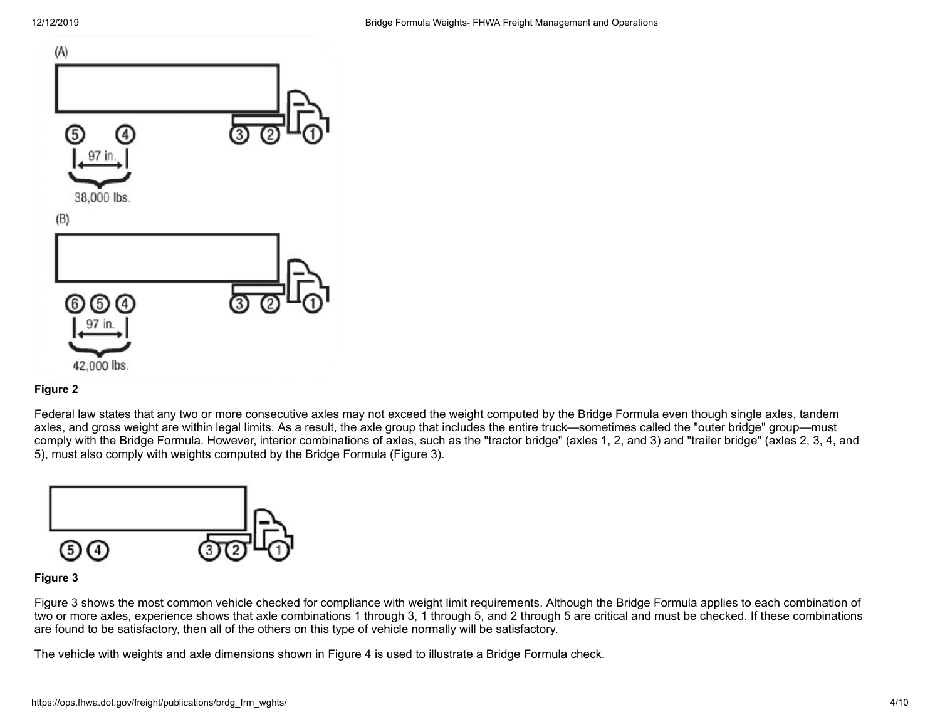

#### **Figure 2**

Federal law states that any two or more consecutive axles may not exceed the weight computed by the Bridge Formula even though single axles, tandem axles, and gross weight are within legal limits. As a result, the axle group that includes the entire truck—sometimes called the "outer bridge" group—must comply with the Bridge Formula. However, interior combinations of axles, such as the "tractor bridge" (axles 1, 2, and 3) and "trailer bridge" (axles 2, 3, 4, and 5), must also comply with weights computed by the Bridge Formula (Figure 3).



#### **Figure 3**

Figure 3 shows the most common vehicle checked for compliance with weight limit requirements. Although the Bridge Formula applies to each combination of two or more axles, experience shows that axle combinations 1 through 3, 1 through 5, and 2 through 5 are critical and must be checked. If these combinations are found to be satisfactory, then all of the others on this type of vehicle normally will be satisfactory.

The vehicle with weights and axle dimensions shown in Figure 4 is used to illustrate a Bridge Formula check.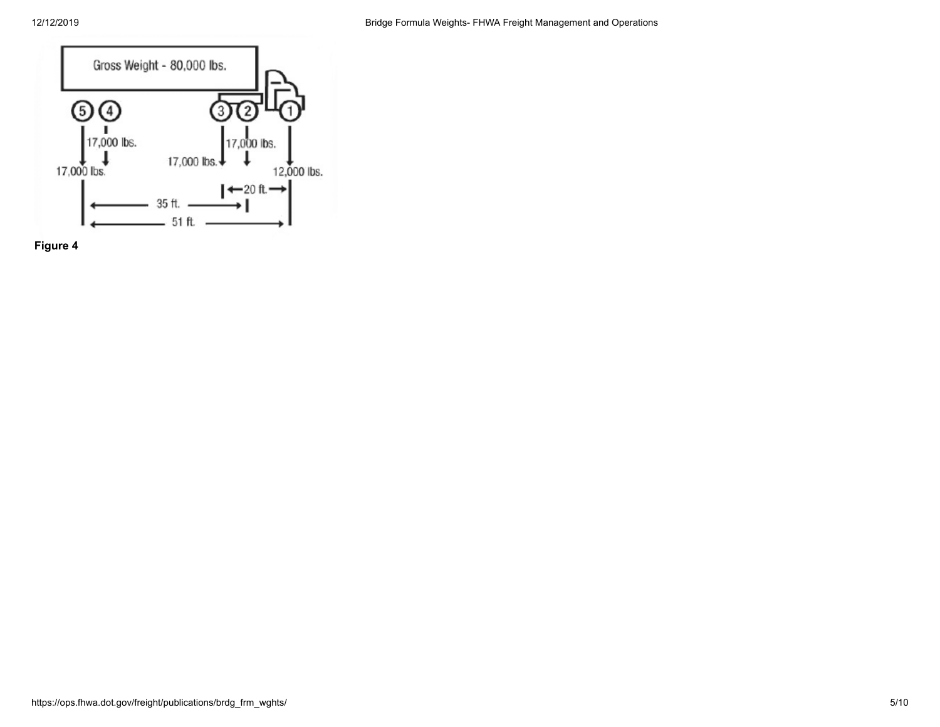

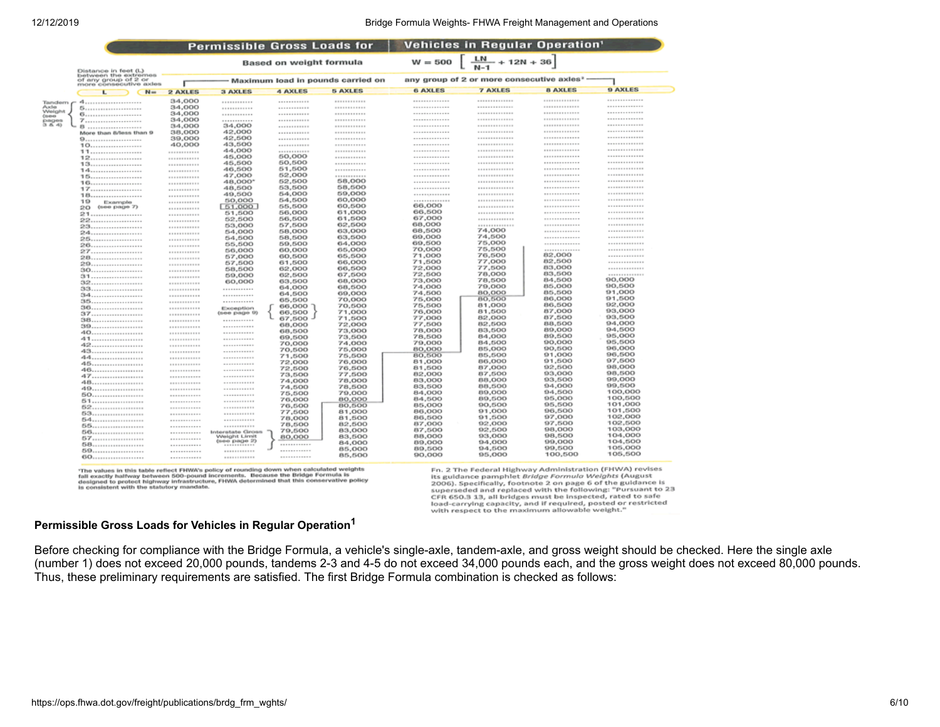#### 12/12/2019 Bridge Formula Weights- FHWA Freight Management and Operations

|                                                                        |                               |                                       | <b>Permissible Gross Loads for</b>           |                                |                                                         |                                 |                                         | <b>Vehicles in Requiar Operation'</b>                         |                       |
|------------------------------------------------------------------------|-------------------------------|---------------------------------------|----------------------------------------------|--------------------------------|---------------------------------------------------------|---------------------------------|-----------------------------------------|---------------------------------------------------------------|-----------------------|
|                                                                        | Distance in feet (L)          | <b>Based on weight formula</b>        |                                              |                                | $W = 500$ $\left[ \frac{LN}{N-1} + 12N + 36 \right]$    |                                 |                                         |                                                               |                       |
| between the extremes<br>of any group of 2 or<br>more consecutive axles |                               | Maximum load in pounds carried on     |                                              |                                | any group of 2 or more consecutive axles <sup>2</sup> - |                                 |                                         |                                                               |                       |
|                                                                        | $N =$                         | 2 AXLES                               | <b>3 AXLES</b>                               | 4 AXLES                        | <b>5 AXLES</b>                                          | <b>6 AXLES</b>                  | <b>7 AXLES</b>                          | <b>B AXLES</b>                                                | 9 AXLES               |
|                                                                        |                               |                                       |                                              |                                |                                                         |                                 |                                         |                                                               |                       |
| Tandem<br>Axla                                                         |                               | 34,000                                | <b>*************</b>                         | <b>************</b>            | <b><i>BREEZ</i> REPAIR</b>                              | -------------<br>-------------- | --------------<br><b>**************</b> | <b><i><u>AAAAAAAAAAAA</u></i></b><br><b><i>BARRETSSIM</i></b> | <br>                  |
| Weight                                                                 |                               | 34,000                                | <b><i>BREEZEEEEEE</i></b>                    | <b>*************</b>           | <b><i><u>ALLEN PROPERTY</u></i></b>                     | --------------                  | --------------                          | <b>**************</b>                                         |                       |
| <b>Courses</b>                                                         |                               | 34,000<br>34,000                      | <b>*************</b><br><b>*************</b> | <b></b><br><b>************</b> | <b>************</b><br><b></b>                          | --------------                  | --------------                          | <b>**************</b>                                         | ------------          |
| pages<br>(3, 6, 4)                                                     |                               | 34,000                                | 34,000                                       | <b>************</b>            | <b>************</b>                                     | --------------                  | <b>**************</b>                   | <b><i>BREEZERS</i></b>                                        | -------------         |
|                                                                        | 8<br>More than fi/less than 9 | 38,000                                | 42,000                                       | <b>*************</b>           | <b></b>                                                 | --------------                  | **************                          | <b>**************</b>                                         | -------------         |
|                                                                        |                               | 39,000                                | 42,500                                       | <b>************</b>            | <b>*************</b>                                    | --------------                  | <b>**************</b>                   | <b>**************</b>                                         |                       |
|                                                                        |                               | 40,000                                | 43,500                                       | <b>************</b>            | <b>************</b>                                     | --------------                  | <b>**************</b>                   | <b></b>                                                       | *************         |
|                                                                        |                               | <b><i>A R R R R R R R R R R R</i></b> | 44,000                                       | <b>*************</b>           | <b>************</b>                                     | <b>**************</b>           | <b>**************</b>                   | <b><i><u><u></u></u></i></b>                                  | <b>**************</b> |
|                                                                        |                               | <b><i>AAAAAA</i></b> BERTA            | 45,000                                       | 50,000                         | <b>************</b>                                     | ---------------                 | <b>**************</b>                   | <b></b>                                                       | --------------        |
|                                                                        |                               | ************                          | 45,500                                       | 50,500                         | <b>************</b>                                     | <b>**************</b>           | <b>**************</b>                   | <b></b>                                                       |                       |
|                                                                        |                               | ************                          | 46,500                                       | 51,500                         | <b>************</b>                                     | <b>***************</b>          | <b>**************</b>                   | <b></b>                                                       |                       |
|                                                                        | $15$                          | <b>************</b>                   | 47,000                                       | 52,000                         |                                                         | ---------------                 | *************                           | <b></b>                                                       | **************        |
|                                                                        |                               | <b>*************</b>                  | 48,000*                                      | 52,500                         | 58,000                                                  | <b>**************</b>           | **************                          | . <i>.</i>                                                    | **************        |
|                                                                        |                               | ************                          | 48,500                                       | 53,500                         | 58,500                                                  | **************                  | **************                          | <b></b>                                                       | **************        |
|                                                                        | 18                            | ************                          | 49,500                                       | 54,000                         | 59,000                                                  | <b>**************</b>           | <b>ASSESSMENT PROPERTY</b>              | <b>**************</b>                                         |                       |
|                                                                        | 19<br>Example                 | ************                          | 50,000                                       | 54,500                         | 60,000                                                  |                                 | <b>A 4 8 8 8 8 8 9 8 8 8 8 8 8</b>      | <b></b>                                                       | **************        |
|                                                                        | (see page 7)<br>20            | ************                          | 51,000                                       | 55,500                         | 60,500                                                  | 66,000                          |                                         | -------------                                                 | **************        |
|                                                                        |                               | ************                          | 51,500                                       | 56,000                         | 61,000                                                  | 66,500                          |                                         | -------------                                                 | **************        |
|                                                                        |                               | <b>************</b>                   | 52,500                                       | 56,500                         | 61,500                                                  | 67,000                          | <b></b>                                 | -------------                                                 | **************        |
|                                                                        |                               |                                       | 53,000                                       | 57,500                         | 62,500                                                  | 68,000                          | <b><i><u>ARRESTS</u></i></b>            | -------------                                                 |                       |
|                                                                        |                               | ************                          | 54,000                                       | 58,000                         | 63,000                                                  | 68,500                          | 74,000                                  | -------------                                                 | <b>**************</b> |
|                                                                        |                               | <b><i><u>ARRESTSERE</u></i></b>       | 54,500                                       | 58,500                         | 63,500                                                  | 69,000                          | 74,500                                  | -------------                                                 |                       |
|                                                                        |                               | <b><i>BEREEVALUE</i></b>              | 55,500                                       | 59,500                         | 64,000                                                  | 69,500                          | 75,000                                  | -------------                                                 |                       |
|                                                                        |                               | <b><i><u>ARRESTSERS</u></i></b>       | 56,000                                       | 60,000                         | 65,000                                                  | 70,000                          | 75,500                                  | **************                                                | <b>**************</b> |
|                                                                        |                               | <b><i><u>ARRESTS IN A</u></i></b>     | 57,000                                       | 60,500                         | 65,500                                                  | 71,000                          | 76,500                                  | 82,000<br>82,500                                              |                       |
|                                                                        | 29                            | <b>ARRESTS AND</b>                    | 57,500                                       | 61,500                         | 66,000                                                  | 71,500                          | 77,000                                  |                                                               | <b>**************</b> |
|                                                                        | 30                            | <b>ASSESSED FOR</b>                   | 58,500                                       | 62,000                         | 66,500                                                  | 72,000                          | 77,500<br>78,000                        | 83,000<br>83,500                                              |                       |
|                                                                        | 31                            | <b>ASSESSMENT</b>                     | 59,000                                       | 62,500                         | 67,500                                                  | 72,500                          |                                         | 84,500                                                        | <br>90,000            |
|                                                                        | 32                            | <b>ASSESSMENT</b>                     | 60,000                                       | 63,500                         | 68,000                                                  | 73,000                          | 78,500<br>79,000                        | 85,000                                                        | 90,500                |
|                                                                        | 33                            | <b>************</b>                   | <b>************</b>                          | 64,000                         | 68,500                                                  | 74,000                          | 80,000                                  | 85,500                                                        | 91,000                |
|                                                                        | 34                            | ------------                          | ************                                 | 64,500                         | 69,000                                                  | 74,500                          | 80,500                                  | 86,000                                                        | 91,500                |
|                                                                        | 35                            | <b>ASSESSMENT</b>                     | <b>************</b>                          | 65,500                         | 70,000<br>70,500                                        | 75,000<br>75,500                | 81,000                                  | 86,500                                                        | 92,000                |
|                                                                        |                               | ************                          | Exception                                    | 66,000                         | 71,000                                                  | 76,000                          | 81,500                                  | 87,000                                                        | 93,000                |
|                                                                        | $37$                          | ------------                          | (see page 9)                                 | 66,500<br>67,500               | 71,500                                                  | 77,000                          | 82,000                                  | 87,500                                                        | 93,500                |
|                                                                        | 38                            | ------------                          | <b>************</b>                          | 68,000                         | 72,000                                                  | 77,500                          | 82,500                                  | 88,500                                                        | 94,000                |
|                                                                        | 39                            | <b>ASSASSMENT</b>                     | <b></b>                                      | 68,500                         | 73,000                                                  | 78,000                          | 83,500                                  | 89,000                                                        | 94,500                |
|                                                                        |                               | <b>ALCOHOL: 1979</b>                  | -----------                                  | 69,500                         | 73,500                                                  | 78,500                          | 84,000                                  | 89,500                                                        | 95,000                |
|                                                                        |                               | <b><i>BASEDREET</i></b>               | <b>************</b><br>------------          | 70,000                         | 74.000                                                  | 79,000                          | 84,500                                  | 90,000                                                        | 95,500                |
|                                                                        |                               | ------------                          | ------------                                 | 70,500                         | 75,000                                                  | 80,000                          | 85,000                                  | 90,500                                                        | 96,000                |
|                                                                        | 44                            | -----------<br><b></b>                | -----------                                  | 71,500                         | 75,500                                                  | 80,500                          | 85,500                                  | 91,000                                                        | 96,500                |
|                                                                        |                               | <b></b>                               | -----------                                  | 72,000                         | 76,000                                                  | 81,000                          | 86,000                                  | 91,500                                                        | 97,500                |
|                                                                        |                               | ------------                          | <b>************</b>                          | 72,500                         | 76,500                                                  | 81,500                          | 87,000                                  | 92,500                                                        | 98,000                |
|                                                                        | $47$                          | ------------                          | ************                                 | 73,500                         | 77,500                                                  | 82,000                          | 87,500                                  | 93,000                                                        | 98,500                |
|                                                                        |                               | <b></b>                               |                                              | 74,000                         | 78,000                                                  | 83,000                          | 88,000                                  | 93,500                                                        | 99,000                |
|                                                                        |                               | -----------                           | <b>************</b>                          | 74,500                         | 78,500                                                  | 83,500                          | 88,500                                  | 94,000                                                        | 99,500                |
|                                                                        |                               | -----------                           | -----------                                  | 75,500                         | 79,000                                                  | 84,000                          | 89,000                                  | 94,500                                                        | 100,000               |
|                                                                        | 51                            | -----------                           | ************                                 | 76,000                         | 80,000                                                  | 84,500                          | 89,500                                  | 95,000                                                        | 100,500               |
|                                                                        |                               | ------------                          | ************                                 | 76,500                         | 80,500                                                  | 85,000                          | 90,500                                  | 95,500                                                        | 101,000               |
|                                                                        |                               | -----------                           | ************                                 | 77,500                         | 81,000                                                  | 86,000                          | 91.000                                  | 96,500                                                        | 101,500               |
|                                                                        |                               | -----------                           | ************                                 | 78,000                         | 81,500                                                  | 86,500                          | 91,500                                  | 97,000                                                        | 102,000               |
|                                                                        |                               | <b>************</b>                   |                                              | 78,500                         | 82,500                                                  | 87,000                          | 92,000                                  | 97,500                                                        | 102,500               |
|                                                                        |                               | <b>************</b>                   | Interstate Gross                             | 79,500                         | 83,000                                                  | 87,500                          | 92,500                                  | 98,000                                                        | 103,000               |
|                                                                        |                               | <b>************</b>                   | Wedgird Limit<br>$(000 \text{ page } 2)$     | 80,000                         | 83,500                                                  | 88,000                          | 93,000                                  | 98,500                                                        | 104,000               |
|                                                                        |                               | ************                          |                                              |                                | 84,000                                                  | 89,000                          | 94,000                                  | 99,000<br>99,500                                              | 104,500<br>105,000    |
|                                                                        |                               | ------------                          | <b><i>BREEZELLER</i></b>                     | <b></b>                        | 85,000                                                  | 89,500                          | 94,500                                  |                                                               | 105,500               |
|                                                                        |                               | ************                          | <b><i>BREEZERREES</i></b>                    | <b></b>                        | 85,500                                                  | 90,000                          | 95,000                                  | 100,500                                                       |                       |

The values in this table reflect FHWA's policy of rounding down when calculated weights<br>fall exactly halfway between 500-pound increments. Because the Bridge Formula is<br>designed to protect highway infrastructure, FHWA dete

Fn. 2 The Federal Highway Administration (FHWA) revises its guidance pamphlet Bridge Formula Weights (August k 2006). Specifically, footnote 2 on page 6 of the guidance is<br>superseded and replaced with the following: "Pursuant to 23 CFR 650.3 13, all bridges must be inspected, rated to safe load-carrying capacity, and if required, posted or restricted with respect to the maximum allowable weight."

#### **Permissible Gross Loads for Vehicles in Regular Operation 1**

Before checking for compliance with the Bridge Formula, a vehicle's single-axle, tandem-axle, and gross weight should be checked. Here the single axle (number 1) does not exceed 20,000 pounds, tandems 2-3 and 4-5 do not exceed 34,000 pounds each, and the gross weight does not exceed 80,000 pounds. Thus, these preliminary requirements are satisfied. The first Bridge Formula combination is checked as follows: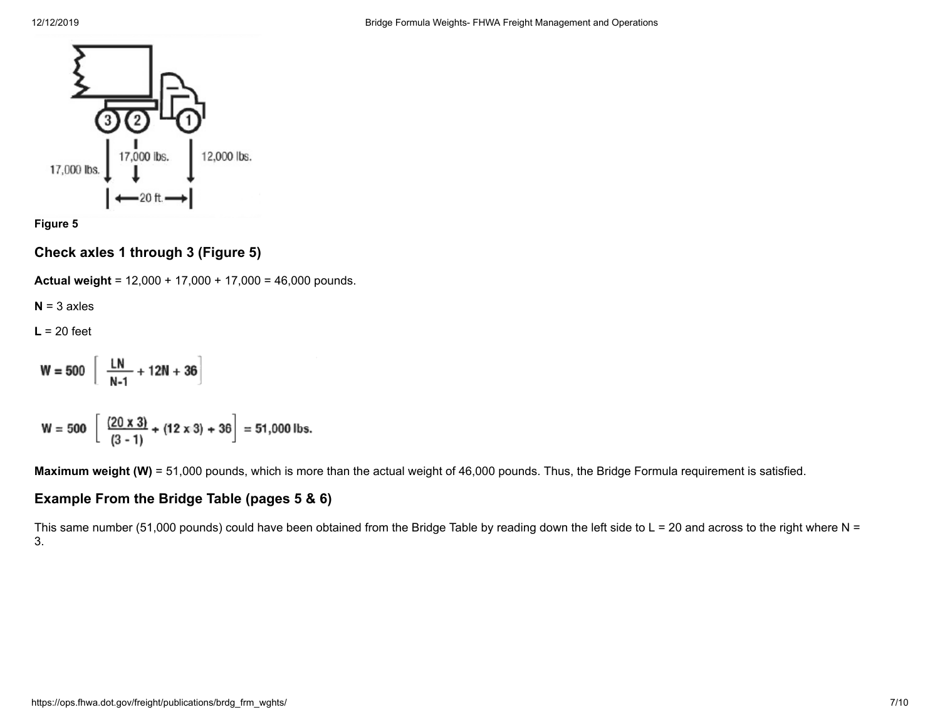

**Figure 5**

**Check axles 1 through 3 (Figure 5)**

**Actual weight** = 12,000 + 17,000 + 17,000 = 46,000 pounds.

 $N = 3$  axles

**L** = 20 feet

$$
W = 500 \left[ \frac{LN}{N-1} + 12N + 36 \right]
$$

$$
W = 500 \left[ \frac{(20 \times 3)}{(3-1)} + (12 \times 3) + 36 \right] = 51,000
$$
 lbs.

**Maximum weight (W)** = 51,000 pounds, which is more than the actual weight of 46,000 pounds. Thus, the Bridge Formula requirement is satisfied.

### **Example From the Bridge Table (pages 5 & 6)**

This same number (51,000 pounds) could have been obtained from the Bridge Table by reading down the left side to  $L = 20$  and across to the right where N = 3.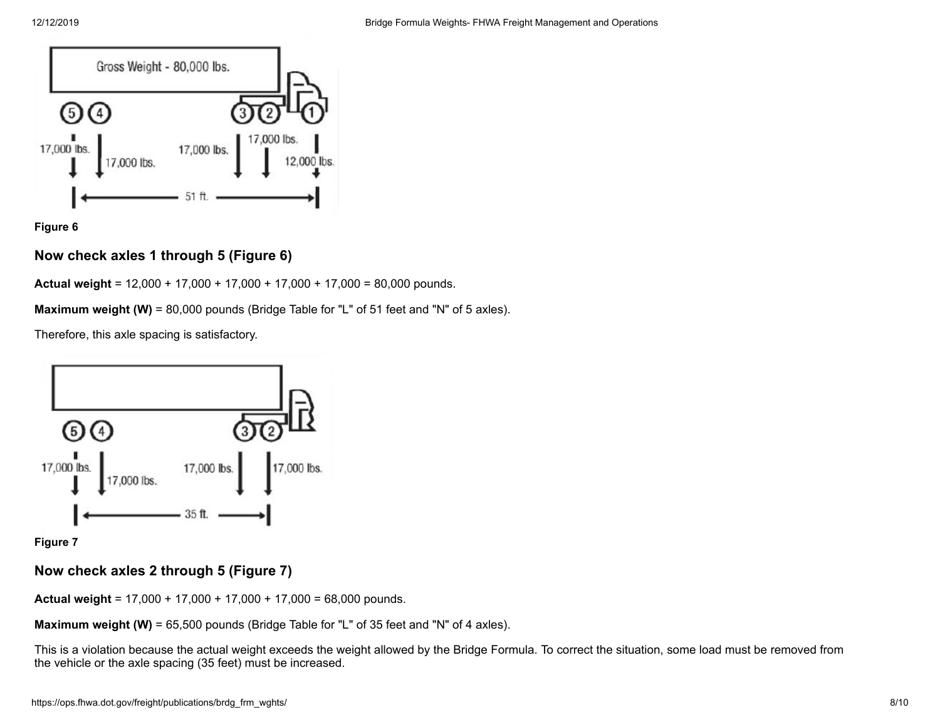

**Figure 6**

### **Now check axles 1 through 5 (Figure 6)**

**Actual weight** = 12,000 + 17,000 + 17,000 + 17,000 + 17,000 = 80,000 pounds.

**Maximum weight (W)** = 80,000 pounds (Bridge Table for "L" of 51 feet and "N" of 5 axles).

Therefore, this axle spacing is satisfactory.



**Figure 7**

## **Now check axles 2 through 5 (Figure 7)**

**Actual weight** = 17,000 + 17,000 + 17,000 + 17,000 = 68,000 pounds.

**Maximum weight (W)** = 65,500 pounds (Bridge Table for "L" of 35 feet and "N" of 4 axles).

This is a violation because the actual weight exceeds the weight allowed by the Bridge Formula. To correct the situation, some load must be removed from the vehicle or the axle spacing (35 feet) must be increased.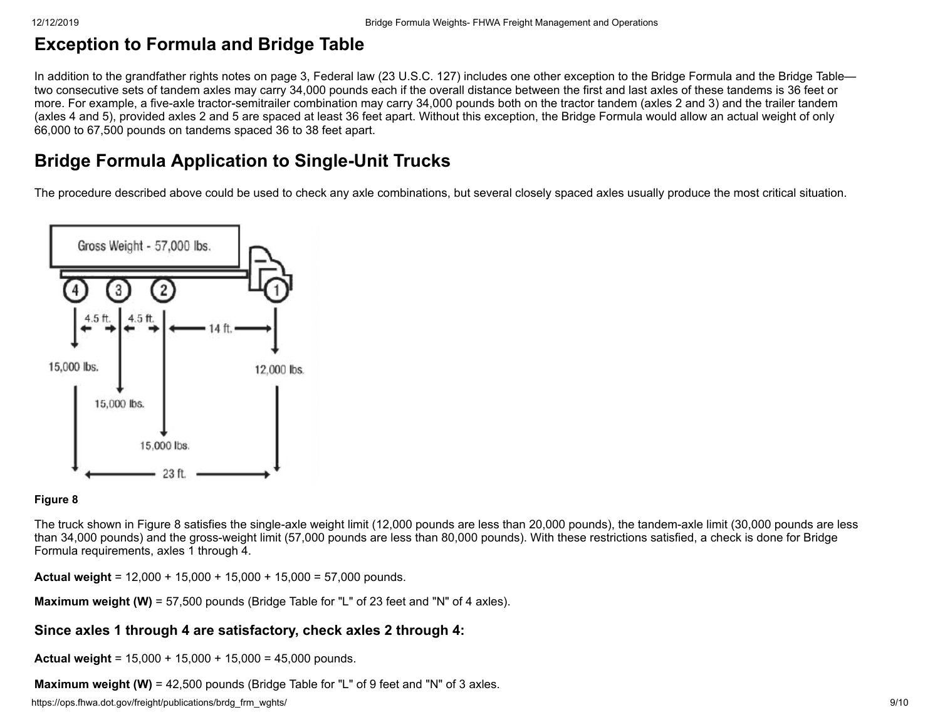# **Exception to Formula and Bridge Table**

In addition to the grandfather rights notes on page 3, Federal law (23 U.S.C. 127) includes one other exception to the Bridge Formula and the Bridge Table two consecutive sets of tandem axles may carry 34,000 pounds each if the overall distance between the first and last axles of these tandems is 36 feet or more. For example, a five-axle tractor-semitrailer combination may carry 34,000 pounds both on the tractor tandem (axles 2 and 3) and the trailer tandem (axles 4 and 5), provided axles 2 and 5 are spaced at least 36 feet apart. Without this exception, the Bridge Formula would allow an actual weight of only 66,000 to 67,500 pounds on tandems spaced 36 to 38 feet apart.

# **Bridge Formula Application to Single-Unit Trucks**

The procedure described above could be used to check any axle combinations, but several closely spaced axles usually produce the most critical situation.



#### **Figure 8**

The truck shown in Figure 8 satisfies the single-axle weight limit (12,000 pounds are less than 20,000 pounds), the tandem-axle limit (30,000 pounds are less than 34,000 pounds) and the gross-weight limit (57,000 pounds are less than 80,000 pounds). With these restrictions satisfied, a check is done for Bridge Formula requirements, axles 1 through 4.

**Actual weight** = 12,000 + 15,000 + 15,000 + 15,000 = 57,000 pounds.

**Maximum weight (W)** = 57,500 pounds (Bridge Table for "L" of 23 feet and "N" of 4 axles).

### **Since axles 1 through 4 are satisfactory, check axles 2 through 4:**

**Actual weight** = 15,000 + 15,000 + 15,000 = 45,000 pounds.

**Maximum weight (W)** = 42,500 pounds (Bridge Table for "L" of 9 feet and "N" of 3 axles.